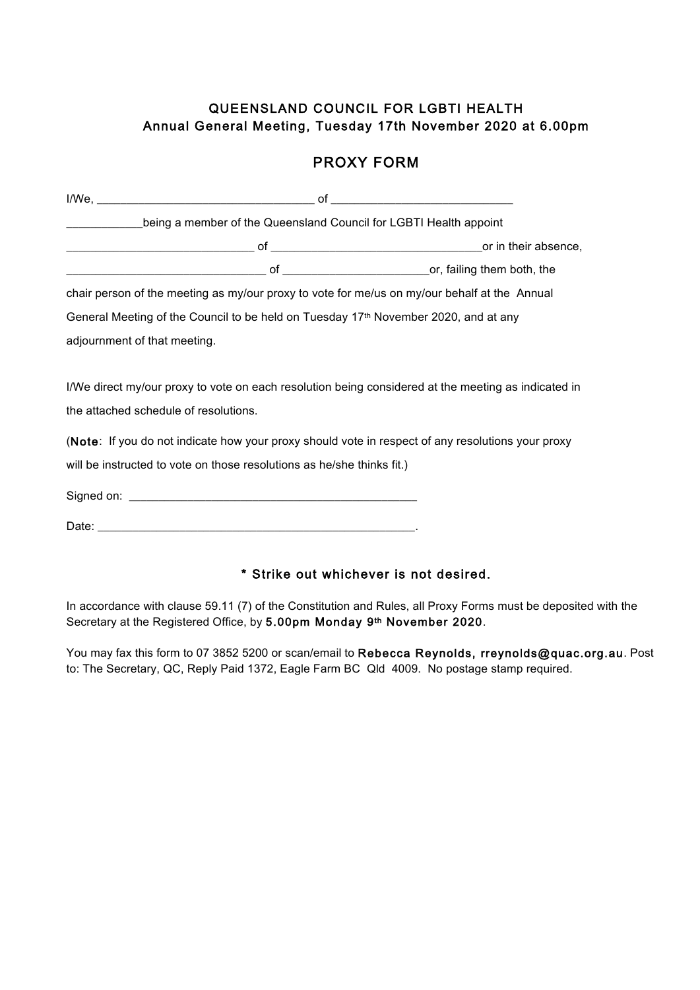## QUEENSLAND COUNCIL FOR LGBTI HEALTH Annual General Meeting, Tuesday 17th November 2020 at 6.00pm

## PROXY FORM

|                                       | Loose of the Queensland Council for LGBTI Health appoint                                        |                                                                                                     |
|---------------------------------------|-------------------------------------------------------------------------------------------------|-----------------------------------------------------------------------------------------------------|
|                                       |                                                                                                 |                                                                                                     |
|                                       |                                                                                                 |                                                                                                     |
|                                       |                                                                                                 | chair person of the meeting as my/our proxy to vote for me/us on my/our behalf at the Annual        |
|                                       | General Meeting of the Council to be held on Tuesday 17 <sup>th</sup> November 2020, and at any |                                                                                                     |
| adjournment of that meeting.          |                                                                                                 |                                                                                                     |
| the attached schedule of resolutions. |                                                                                                 | I/We direct my/our proxy to vote on each resolution being considered at the meeting as indicated in |
|                                       |                                                                                                 | (Note: If you do not indicate how your proxy should vote in respect of any resolutions your proxy   |
|                                       | will be instructed to vote on those resolutions as he/she thinks fit.)                          |                                                                                                     |
|                                       |                                                                                                 |                                                                                                     |
|                                       |                                                                                                 |                                                                                                     |
|                                       |                                                                                                 |                                                                                                     |
|                                       |                                                                                                 | * Strike out whichever is not desired.                                                              |

In accordance with clause 59.11 (7) of the Constitution and Rules, all Proxy Forms must be deposited with the Secretary at the Registered Office, by 5.00pm Monday 9th November 2020.

You may fax this form to 07 3852 5200 or scan/email to Rebecca Reynolds, rreynolds@quac.org.au. Post to: The Secretary, QC, Reply Paid 1372, Eagle Farm BC Qld 4009. No postage stamp required.